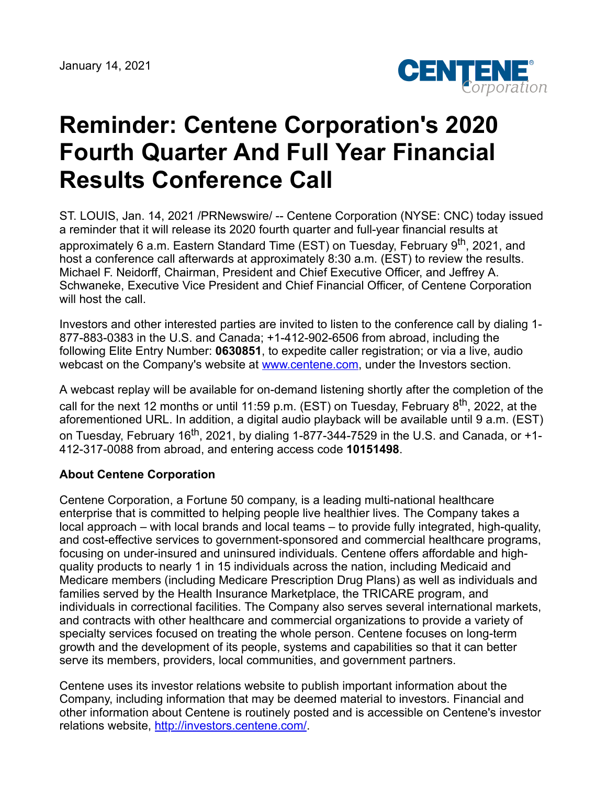

## **Reminder: Centene Corporation's 2020 Fourth Quarter And Full Year Financial Results Conference Call**

ST. LOUIS, Jan. 14, 2021 /PRNewswire/ -- Centene Corporation (NYSE: CNC) today issued a reminder that it will release its 2020 fourth quarter and full-year financial results at approximately 6 a.m. Eastern Standard Time (EST) on Tuesday, February 9<sup>th</sup>, 2021, and host a conference call afterwards at approximately 8:30 a.m. (EST) to review the results. Michael F. Neidorff, Chairman, President and Chief Executive Officer, and Jeffrey A. Schwaneke, Executive Vice President and Chief Financial Officer, of Centene Corporation will host the call.

Investors and other interested parties are invited to listen to the conference call by dialing 1- 877-883-0383 in the U.S. and Canada; +1-412-902-6506 from abroad, including the following Elite Entry Number: **0630851**, to expedite caller registration; or via a live, audio webcast on the Company's website at [www.centene.com,](http://www.centene.com/) under the Investors section.

A webcast replay will be available for on-demand listening shortly after the completion of the call for the next 12 months or until 11:59 p.m. (EST) on Tuesday, February 8<sup>th</sup>, 2022, at the aforementioned URL. In addition, a digital audio playback will be available until 9 a.m. (EST) on Tuesday, February 16<sup>th</sup>, 2021, by dialing 1-877-344-7529 in the U.S. and Canada, or +1-412-317-0088 from abroad, and entering access code **10151498**.

## **About Centene Corporation**

Centene Corporation, a Fortune 50 company, is a leading multi-national healthcare enterprise that is committed to helping people live healthier lives. The Company takes a local approach – with local brands and local teams – to provide fully integrated, high-quality, and cost-effective services to government-sponsored and commercial healthcare programs, focusing on under-insured and uninsured individuals. Centene offers affordable and highquality products to nearly 1 in 15 individuals across the nation, including Medicaid and Medicare members (including Medicare Prescription Drug Plans) as well as individuals and families served by the Health Insurance Marketplace, the TRICARE program, and individuals in correctional facilities. The Company also serves several international markets, and contracts with other healthcare and commercial organizations to provide a variety of specialty services focused on treating the whole person. Centene focuses on long-term growth and the development of its people, systems and capabilities so that it can better serve its members, providers, local communities, and government partners.

Centene uses its investor relations website to publish important information about the Company, including information that may be deemed material to investors. Financial and other information about Centene is routinely posted and is accessible on Centene's investor relations website, [http://investors.centene.com/.](http://investors.centene.com/)